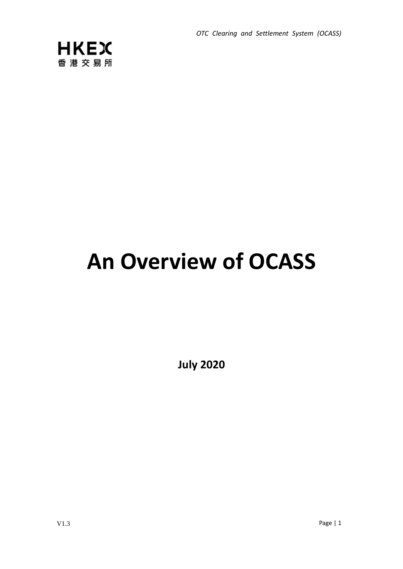*OTC Clearing and Settlement System (OCASS)*



# **An Overview of OCASS**

**July 2020**

V1.3 Page | 1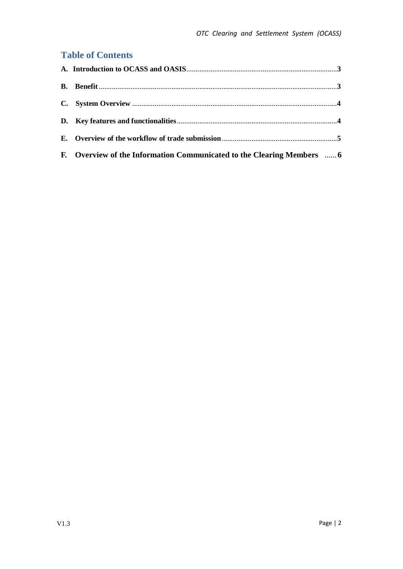## **Table of Contents**

| F. Overview of the Information Communicated to the Clearing Members  6 |  |
|------------------------------------------------------------------------|--|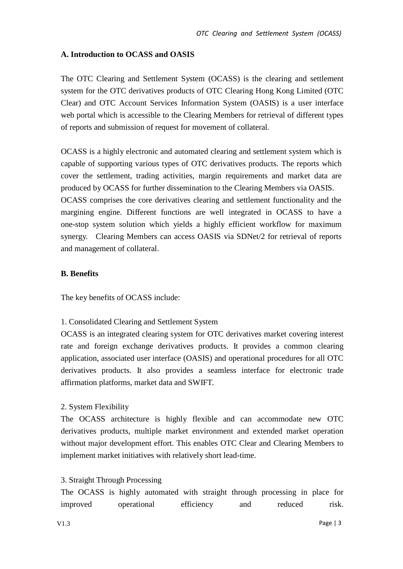#### **A. Introduction to OCASS and OASIS**

The OTC Clearing and Settlement System (OCASS) is the clearing and settlement system for the OTC derivatives products of OTC Clearing Hong Kong Limited (OTC Clear) and OTC Account Services Information System (OASIS) is a user interface web portal which is accessible to the Clearing Members for retrieval of different types of reports and submission of request for movement of collateral.

OCASS is a highly electronic and automated clearing and settlement system which is capable of supporting various types of OTC derivatives products. The reports which cover the settlement, trading activities, margin requirements and market data are produced by OCASS for further dissemination to the Clearing Members via OASIS. OCASS comprises the core derivatives clearing and settlement functionality and the margining engine. Different functions are well integrated in OCASS to have a one-stop system solution which yields a highly efficient workflow for maximum synergy. Clearing Members can access OASIS via SDNet/2 for retrieval of reports and management of collateral.

#### **B. Benefits**

The key benefits of OCASS include:

#### 1. Consolidated Clearing and Settlement System

OCASS is an integrated clearing system for OTC derivatives market covering interest rate and foreign exchange derivatives products. It provides a common clearing application, associated user interface (OASIS) and operational procedures for all OTC derivatives products. It also provides a seamless interface for electronic trade affirmation platforms, market data and SWIFT.

## 2. System Flexibility

The OCASS architecture is highly flexible and can accommodate new OTC derivatives products, multiple market environment and extended market operation without major development effort. This enables OTC Clear and Clearing Members to implement market initiatives with relatively short lead-time.

#### 3. Straight Through Processing

The OCASS is highly automated with straight through processing in place for improved operational efficiency and reduced risk.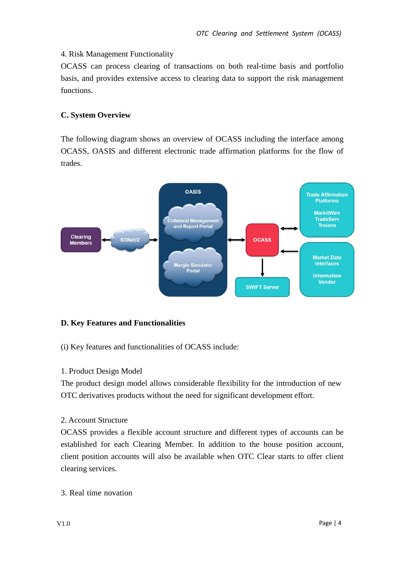## 4. Risk Management Functionality

OCASS can process clearing of transactions on both real-time basis and portfolio basis, and provides extensive access to clearing data to support the risk management functions.

## **C. System Overview**

The following diagram shows an overview of OCASS including the interface among OCASS, OASIS and different electronic trade affirmation platforms for the flow of trades.



## **D. Key Features and Functionalities**

(i) Key features and functionalities of OCASS include:

## 1. Product Design Model

The product design model allows considerable flexibility for the introduction of new OTC derivatives products without the need for significant development effort.

## 2. Account Structure

OCASS provides a flexible account structure and different types of accounts can be established for each Clearing Member. In addition to the house position account, client position accounts will also be available when OTC Clear starts to offer client clearing services.

3. Real time novation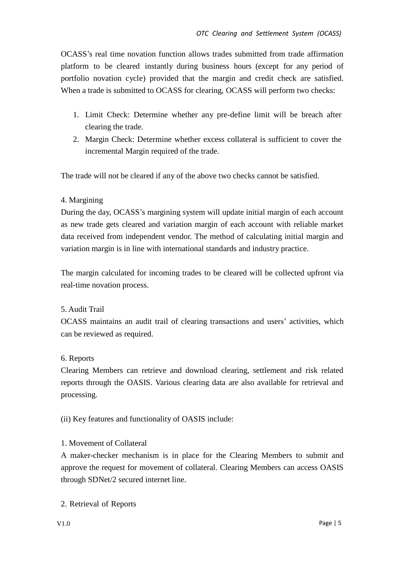OCASS's real time novation function allows trades submitted from trade affirmation platform to be cleared instantly during business hours (except for any period of portfolio novation cycle) provided that the margin and credit check are satisfied. When a trade is submitted to OCASS for clearing, OCASS will perform two checks:

- 1. Limit Check: Determine whether any pre-define limit will be breach after clearing the trade.
- 2. Margin Check: Determine whether excess collateral is sufficient to cover the incremental Margin required of the trade.

The trade will not be cleared if any of the above two checks cannot be satisfied.

## 4. Margining

During the day, OCASS's margining system will update initial margin of each account as new trade gets cleared and variation margin of each account with reliable market data received from independent vendor. The method of calculating initial margin and variation margin is in line with international standards and industry practice.

The margin calculated for incoming trades to be cleared will be collected upfront via real-time novation process.

## 5. Audit Trail

OCASS maintains an audit trail of clearing transactions and users' activities, which can be reviewed as required.

## 6. Reports

Clearing Members can retrieve and download clearing, settlement and risk related reports through the OASIS. Various clearing data are also available for retrieval and processing.

(ii) Key features and functionality of OASIS include:

## 1. Movement of Collateral

A maker-checker mechanism is in place for the Clearing Members to submit and approve the request for movement of collateral. Clearing Members can access OASIS through SDNet/2 secured internet line.

2. Retrieval of Reports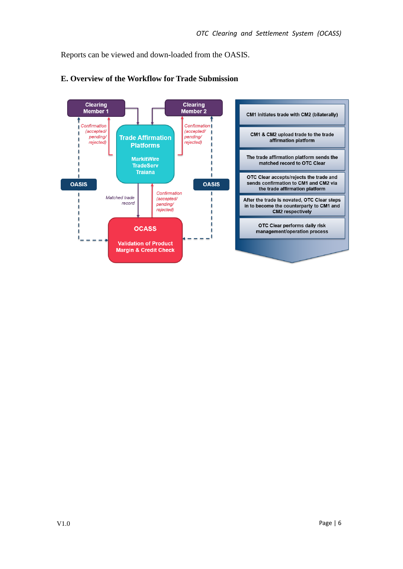Reports can be viewed and down-loaded from the OASIS.



## **E. Overview of the Workflow for Trade Submission**